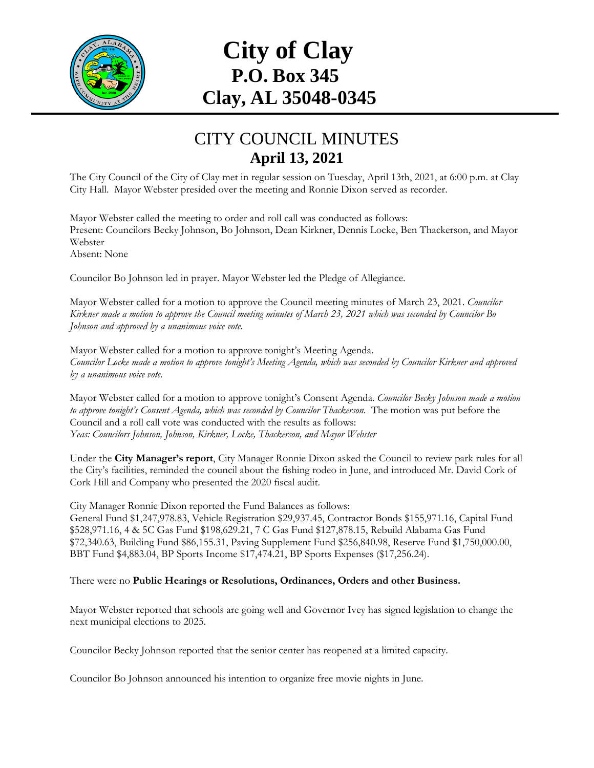

## **City of Clay P.O. Box 345 Clay, AL 35048-0345**

## CITY COUNCIL MINUTES **April 13, 2021**

The City Council of the City of Clay met in regular session on Tuesday, April 13th, 2021, at 6:00 p.m. at Clay City Hall. Mayor Webster presided over the meeting and Ronnie Dixon served as recorder.

Mayor Webster called the meeting to order and roll call was conducted as follows: Present: Councilors Becky Johnson, Bo Johnson, Dean Kirkner, Dennis Locke, Ben Thackerson, and Mayor Webster Absent: None

Councilor Bo Johnson led in prayer. Mayor Webster led the Pledge of Allegiance.

Mayor Webster called for a motion to approve the Council meeting minutes of March 23, 2021. *Councilor Kirkner made a motion to approve the Council meeting minutes of March 23, 2021 which was seconded by Councilor Bo Johnson and approved by a unanimous voice vote.*

Mayor Webster called for a motion to approve tonight's Meeting Agenda. *Councilor Locke made a motion to approve tonight's Meeting Agenda, which was seconded by Councilor Kirkner and approved by a unanimous voice vote.*

Mayor Webster called for a motion to approve tonight's Consent Agenda. *Councilor Becky Johnson made a motion*  to approve tonight's Consent Agenda, which was seconded by Councilor Thackerson. The motion was put before the Council and a roll call vote was conducted with the results as follows: *Yeas: Councilors Johnson, Johnson, Kirkner, Locke, Thackerson, and Mayor Webster*

Under the **City Manager's report**, City Manager Ronnie Dixon asked the Council to review park rules for all the City's facilities, reminded the council about the fishing rodeo in June, and introduced Mr. David Cork of Cork Hill and Company who presented the 2020 fiscal audit.

City Manager Ronnie Dixon reported the Fund Balances as follows:

General Fund \$1,247,978.83, Vehicle Registration \$29,937.45, Contractor Bonds \$155,971.16, Capital Fund \$528,971.16, 4 & 5C Gas Fund \$198,629.21, 7 C Gas Fund \$127,878.15, Rebuild Alabama Gas Fund \$72,340.63, Building Fund \$86,155.31, Paving Supplement Fund \$256,840.98, Reserve Fund \$1,750,000.00, BBT Fund \$4,883.04, BP Sports Income \$17,474.21, BP Sports Expenses (\$17,256.24).

There were no **Public Hearings or Resolutions, Ordinances, Orders and other Business.** 

Mayor Webster reported that schools are going well and Governor Ivey has signed legislation to change the next municipal elections to 2025.

Councilor Becky Johnson reported that the senior center has reopened at a limited capacity.

Councilor Bo Johnson announced his intention to organize free movie nights in June.